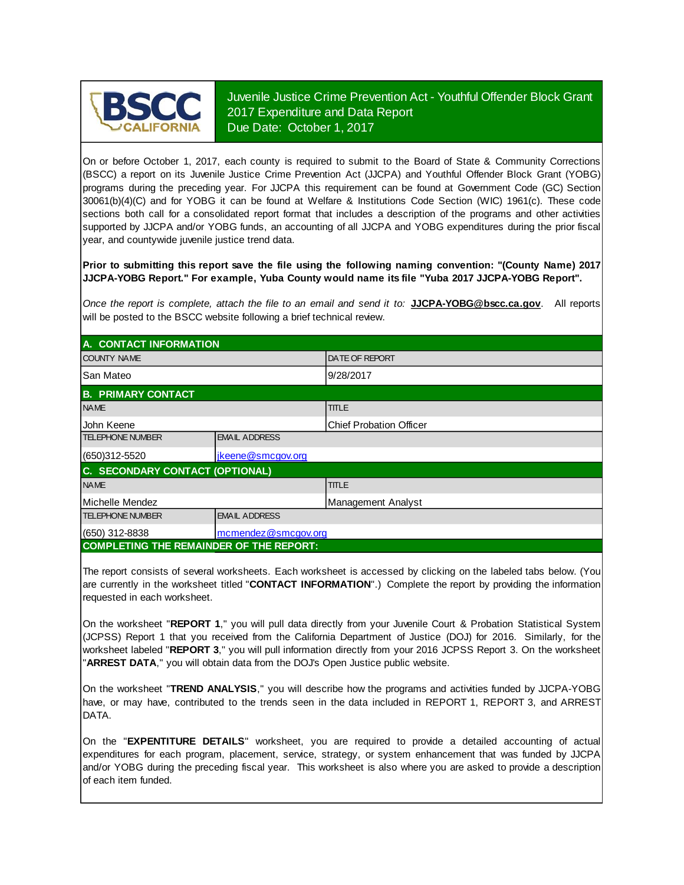

Juvenile Justice Crime Prevention Act - Youthful Offender Block Grant 2017 Expenditure and Data Report Due Date: October 1, 2017

On or before October 1, 2017, each county is required to submit to the Board of State & Community Corrections (BSCC) <sup>a</sup> report on its Juvenile Justice Crime Prevention Act (JJCPA) and Youthful Offender Block Grant (YOBG) programs during the preceding year. For JJCPA this requirement can be found at Government Code (GC) Section 30061(b)(4)(C) and for YOBG it can be found at Welfare & Institutions Code Section (WIC) 1961(c). These code sections both call for <sup>a</sup> consolidated report format that includes <sup>a</sup> description of the programs and other activities supported by JJCPA and/or YOBG funds, an accounting of all JJCPA and YOBG expenditures during the prior fiscal year, and countywide juvenile justice trend data.

**Prior to submitting this report save the file using the following naming convention: "(County Name) 2017 JJCPA-YOBG Report." For example, Yuba County would name its file "Yuba 2017 JJCPA-YOBG Report".**

*Once the report is complete, attach the file t o an email and send it to:* **JJCPA-YOBG@bscc.ca.gov**. All reports will be posted to the BSCC website following a brief technical review.

| A. CONTACT INFORMATION                         |                      |                         |  |  |
|------------------------------------------------|----------------------|-------------------------|--|--|
| <b>COUNTY NAME</b>                             |                      | <b>DATE OF REPORT</b>   |  |  |
| lSan Mateo                                     |                      | 9/28/2017               |  |  |
| <b>B. PRIMARY CONTACT</b>                      |                      |                         |  |  |
| <b>NAME</b>                                    |                      | <b>TITLE</b>            |  |  |
| <b>John Keene</b>                              |                      | Chief Probation Officer |  |  |
| <b>TELEPHONE NUMBER</b>                        | <b>EMAIL ADDRESS</b> |                         |  |  |
| $(650)312 - 5520$                              | jkeene@smcgov.org    |                         |  |  |
| C. SECONDARY CONTACT (OPTIONAL)                |                      |                         |  |  |
| <b>NAME</b>                                    |                      | <b>TITLE</b>            |  |  |
| Michelle Mendez                                |                      | Management Analyst      |  |  |
| <b>TELEPHONE NUMBER</b>                        | <b>EMAIL ADDRESS</b> |                         |  |  |
| $(650)$ 312-8838                               | mcmendez@smcgov.org  |                         |  |  |
| <b>COMPLETING THE REMAINDER OF THE REPORT:</b> |                      |                         |  |  |

The report consists of several worksheets. Each worksheet is accessed by clicking on the labeled tabs below. (You are currently in the worksheet titled "**CONTACT INFORMATION**".) Complete the report by providing the information requested in each worksheet.

On the worksheet "REPORT 1," you will pull data directly from your Juvenile Court & Probation Statistical System (JCPSS) Report 1 that you received from the California Department of Justice (DOJ) for 2016. Similarly, for the worksheet labeled "REPORT 3," you will pull information directly from your 2016 JCPSS Report 3. On the worksheet "**ARREST DATA**," you will obtain data from the DOJ's Open Justice public website.

On the worksheet "**TREND ANALYSIS**, " you will describe how the programs and activities funded by JJCPA-YOBG have, or may have, contributed to the trends seen in the data included in REPORT 1, REPORT 3, and ARREST DATA.

On the "EXPENTITURE DETAILS" worksheet, you are required to provide a detailed accounting of actual expenditures for each program, placement, service, strategy, or system enhancement that was funded by JJCPA and/or YOBG during the preceding fiscal year. This worksheet is also where you are asked to provide a description of each item funded.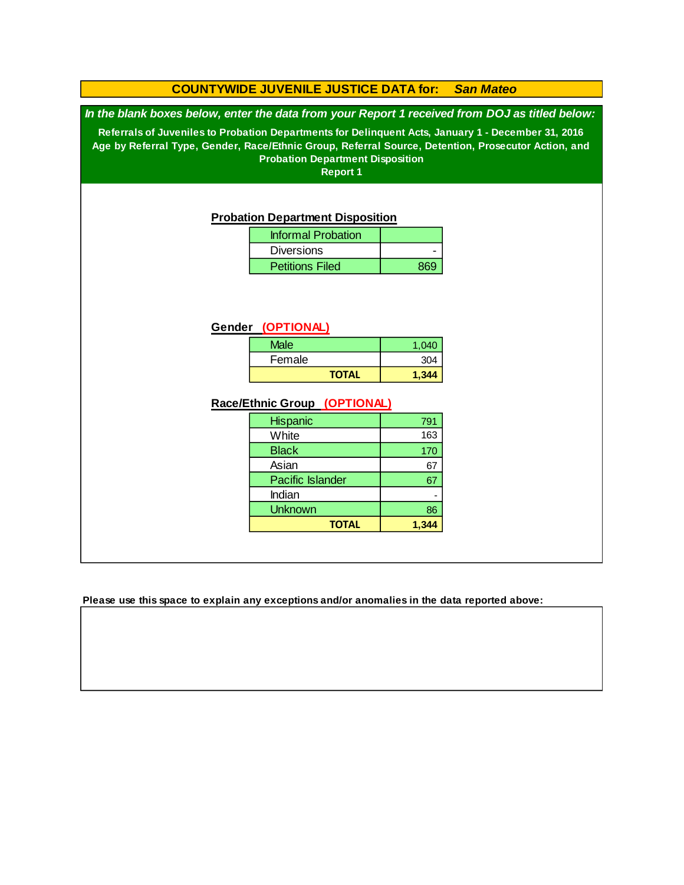### **COUNTYWIDE JUVENILE JUSTICE DATA for:** *San Mateo*

*In the blank boxes below, enter the data from your Report 1 received from DOJ as titled below:*

**Referrals of Juveniles to Probation Departments for Delinquent Acts, January 1 - December 31, 2016 Age by Referral Type, Gender, Race/Ethnic Group, Referral Source, Detention, Prosecutor Action, and Probation Department Disposition**

**Report 1**

#### **Probation Department Disposition**

| <b>Informal Probation</b> |     |
|---------------------------|-----|
| <b>Diversions</b>         |     |
| <b>Petitions Filed</b>    | 869 |

### **Gender (OPTIONAL)**

| <b>Male</b>  | 1.040 |
|--------------|-------|
| Female       | 304   |
| <b>TOTAL</b> | 1.344 |

### **Race/Ethnic Group (OPTIONAL)**

| <b>Hispanic</b>         | 791 |
|-------------------------|-----|
| White                   | 163 |
| <b>Black</b>            | 170 |
| Asian                   | 67  |
| <b>Pacific Islander</b> | 67  |
| Indian                  |     |
| <b>Unknown</b>          | 86  |
| <b>TOTAL</b>            |     |

**Please use this space to explain any exceptions and/or anomalies in the data reported above:**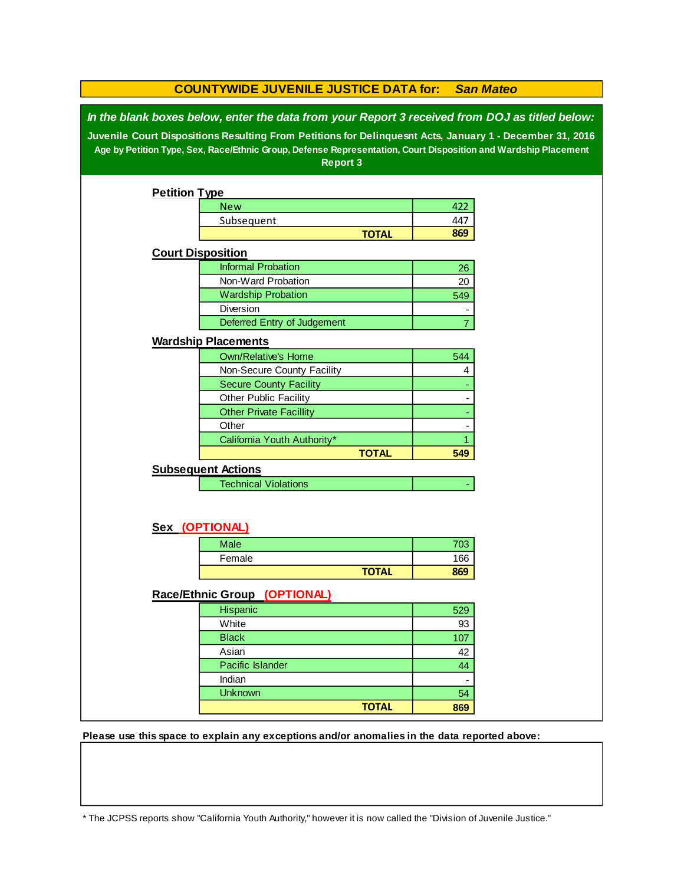| <b>COUNTYWIDE JUVENILE JUSTICE DATA for:</b><br><b>San Mateo</b> |                                                                                                                                                                                                                                                                                                                              |              |                |  |
|------------------------------------------------------------------|------------------------------------------------------------------------------------------------------------------------------------------------------------------------------------------------------------------------------------------------------------------------------------------------------------------------------|--------------|----------------|--|
|                                                                  | In the blank boxes below, enter the data from your Report 3 received from DOJ as titled below:<br>Juvenile Court Dispositions Resulting From Petitions for Delinquesnt Acts, January 1 - December 31, 2016<br>Age by Petition Type, Sex, Race/Ethnic Group, Defense Representation, Court Disposition and Wardship Placement |              |                |  |
|                                                                  | Report 3                                                                                                                                                                                                                                                                                                                     |              |                |  |
|                                                                  |                                                                                                                                                                                                                                                                                                                              |              |                |  |
| <b>Petition Type</b>                                             |                                                                                                                                                                                                                                                                                                                              |              |                |  |
|                                                                  | <b>New</b>                                                                                                                                                                                                                                                                                                                   |              | 422            |  |
|                                                                  | Subsequent                                                                                                                                                                                                                                                                                                                   |              | 447            |  |
|                                                                  |                                                                                                                                                                                                                                                                                                                              | <b>TOTAL</b> | 869            |  |
|                                                                  | <b>Court Disposition</b>                                                                                                                                                                                                                                                                                                     |              |                |  |
|                                                                  | <b>Informal Probation</b>                                                                                                                                                                                                                                                                                                    |              | 26             |  |
|                                                                  | Non-Ward Probation                                                                                                                                                                                                                                                                                                           |              | 20             |  |
|                                                                  | <b>Wardship Probation</b>                                                                                                                                                                                                                                                                                                    |              | 549            |  |
|                                                                  | Diversion                                                                                                                                                                                                                                                                                                                    |              |                |  |
|                                                                  | Deferred Entry of Judgement                                                                                                                                                                                                                                                                                                  |              | $\overline{7}$ |  |
|                                                                  | <b>Wardship Placements</b>                                                                                                                                                                                                                                                                                                   |              |                |  |
|                                                                  | <b>Own/Relative's Home</b>                                                                                                                                                                                                                                                                                                   |              | 544            |  |
|                                                                  | Non-Secure County Facility                                                                                                                                                                                                                                                                                                   |              | 4              |  |
|                                                                  | <b>Secure County Facility</b>                                                                                                                                                                                                                                                                                                |              |                |  |
|                                                                  | Other Public Facility                                                                                                                                                                                                                                                                                                        |              |                |  |
|                                                                  | <b>Other Private Facillity</b>                                                                                                                                                                                                                                                                                               |              |                |  |
|                                                                  | Other                                                                                                                                                                                                                                                                                                                        |              |                |  |
|                                                                  | California Youth Authority*                                                                                                                                                                                                                                                                                                  |              | 1              |  |
|                                                                  |                                                                                                                                                                                                                                                                                                                              | <b>TOTAL</b> | 549            |  |
|                                                                  | <b>Subsequent Actions</b>                                                                                                                                                                                                                                                                                                    |              |                |  |
|                                                                  | <b>Technical Violations</b>                                                                                                                                                                                                                                                                                                  |              |                |  |
|                                                                  |                                                                                                                                                                                                                                                                                                                              |              |                |  |
|                                                                  |                                                                                                                                                                                                                                                                                                                              |              |                |  |
|                                                                  | Sex (OPTIONAL)                                                                                                                                                                                                                                                                                                               |              |                |  |
|                                                                  | <b>Male</b>                                                                                                                                                                                                                                                                                                                  |              | 703            |  |
|                                                                  | Female                                                                                                                                                                                                                                                                                                                       |              | 166            |  |
|                                                                  |                                                                                                                                                                                                                                                                                                                              | <b>TOTAL</b> | 869            |  |
|                                                                  |                                                                                                                                                                                                                                                                                                                              |              |                |  |
|                                                                  | Race/Ethnic Group (OPTIONAL)                                                                                                                                                                                                                                                                                                 |              |                |  |
|                                                                  | Hispanic                                                                                                                                                                                                                                                                                                                     |              | 529            |  |
|                                                                  | White                                                                                                                                                                                                                                                                                                                        |              | 93             |  |
|                                                                  | <b>Black</b>                                                                                                                                                                                                                                                                                                                 |              | 107            |  |
|                                                                  | Asian                                                                                                                                                                                                                                                                                                                        |              | 42             |  |
|                                                                  | Pacific Islander                                                                                                                                                                                                                                                                                                             |              | 44             |  |
|                                                                  | Indian                                                                                                                                                                                                                                                                                                                       |              |                |  |
|                                                                  | Unknown                                                                                                                                                                                                                                                                                                                      |              | 54             |  |
|                                                                  |                                                                                                                                                                                                                                                                                                                              | <b>TOTAL</b> | 869            |  |

**Please use this space to explain any exceptions and/or anomalies in the data reported above:** 

\* The JCPSS reports show "California Youth Authority," however it is now called the "Division of Juvenile Justice."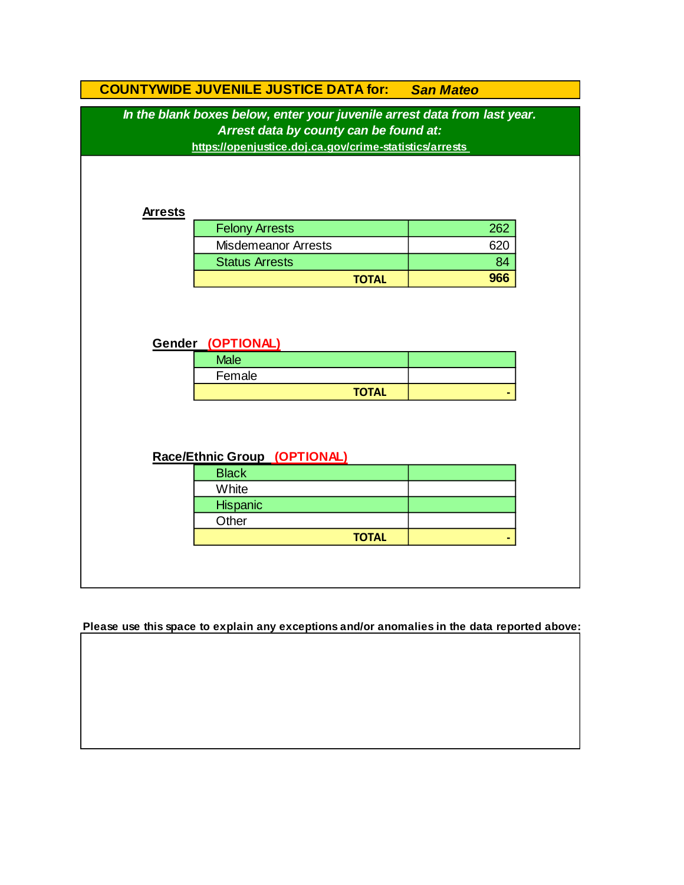|                | <b>COUNTYWIDE JUVENILE JUSTICE DATA for: San Mateo</b>                    |     |
|----------------|---------------------------------------------------------------------------|-----|
|                | In the blank boxes below, enter your juvenile arrest data from last year. |     |
|                | Arrest data by county can be found at:                                    |     |
|                | https://openjustice.doj.ca.gov/crime-statistics/arrests                   |     |
|                |                                                                           |     |
|                |                                                                           |     |
| <b>Arrests</b> |                                                                           |     |
|                | <b>Felony Arrests</b>                                                     | 262 |
|                | <b>Misdemeanor Arrests</b>                                                | 620 |
|                | <b>Status Arrests</b>                                                     | 84  |
|                | <b>TOTAL</b>                                                              | 966 |
|                |                                                                           |     |
|                | Gender (OPTIONAL)                                                         |     |
|                |                                                                           |     |
|                | <b>Male</b>                                                               |     |
|                | Female                                                                    |     |
|                | <b>TOTAL</b>                                                              |     |
|                |                                                                           |     |
|                |                                                                           |     |
|                |                                                                           |     |
|                | Race/Ethnic Group (OPTIONAL)                                              |     |
|                | <b>Black</b><br>White                                                     |     |
|                |                                                                           |     |
|                | Hispanic<br>Other                                                         |     |
|                | <b>TOTAL</b>                                                              |     |

**Please use this space to explain any exceptions and/or anomalies in the data reported above:**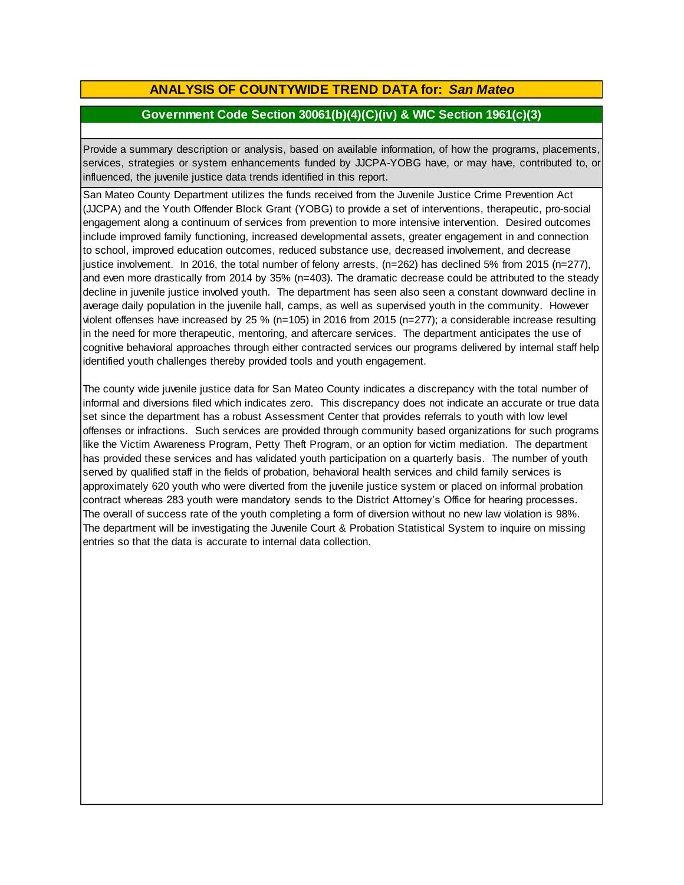## **ANALYSIS OF COUNTYWIDE TREND DATA for:** *San Mateo*

### **Government Code Section 30061(b)(4)(C)(iv) & WIC Section 1961(c)(3)**

Provide <sup>a</sup> summary description or analysis, based on available information, of how the programs, placements, services, strategies or system enhancements funded by JJCPA-YOBG have, or may have, contributed to, or influenced, the juvenile justice data trends identified in this report.

San Mateo County Department utilizes the funds received from the Juvenile Justice Crime Prevention Act (JJCPA) and the Youth Offender Block Grant (YOBG) to provide a set of interventions, therapeutic, pro-social engagement along a continuum of services from prevention to more intensive intervention. Desired outcomes include improved family functioning, increased developmental assets, greater engagement in and connection to school, improved education outcomes, reduced substance use, decreased involvement, and decrease justice involvement. In 2016, the total number of felony arrests, (n=262) has declined 5% from 2015 (n=277), and even more drastically from 2014 by 35% (n=403). The dramatic decrease could be attributed to the steady decline in juvenile justice involved youth. The department has seen also seen a constant downward decline in average daily population in the juvenile hall, camps, as well as supervised youth in the community. However violent offenses have increased by 25 % (n=105) in 2016 from 2015 (n=277); a considerable increase resulting in the need for more therapeutic, mentoring, and aftercare services. The department anticipates the use of cognitive behavioral approaches through either contracted services our programs delivered by internal staff help identified youth challenges thereby provided tools and youth engagement.

The county wide juvenile justice data for San Mateo County indicates a discrepancy with the total number of informal and diversions filed which indicates zero. This discrepancy does not indicate an accurate or true data set since the department has a robust Assessment Center that provides referrals to youth with low level offenses or infractions. Such services are provided through community based organizations for such programs like the Victim Awareness Program, Petty Theft Program, or an option for victim mediation. The department has provided these services and has validated youth participation on a quarterly basis. The number of youth served by qualified staff in the fields of probation, behavioral health services and child family services is approximately 620 youth who were diverted from the juvenile justice system or placed on informal probation contract whereas 283 youth were mandatory sends to the District Attorney's Office for hearing processes. The overall of success rate of the youth completing a form of diversion without no new law violation is 98%. The department will be investigating the Juvenile Court & Probation Statistical System to inquire on missing entries so that the data is accurate to internal data collection.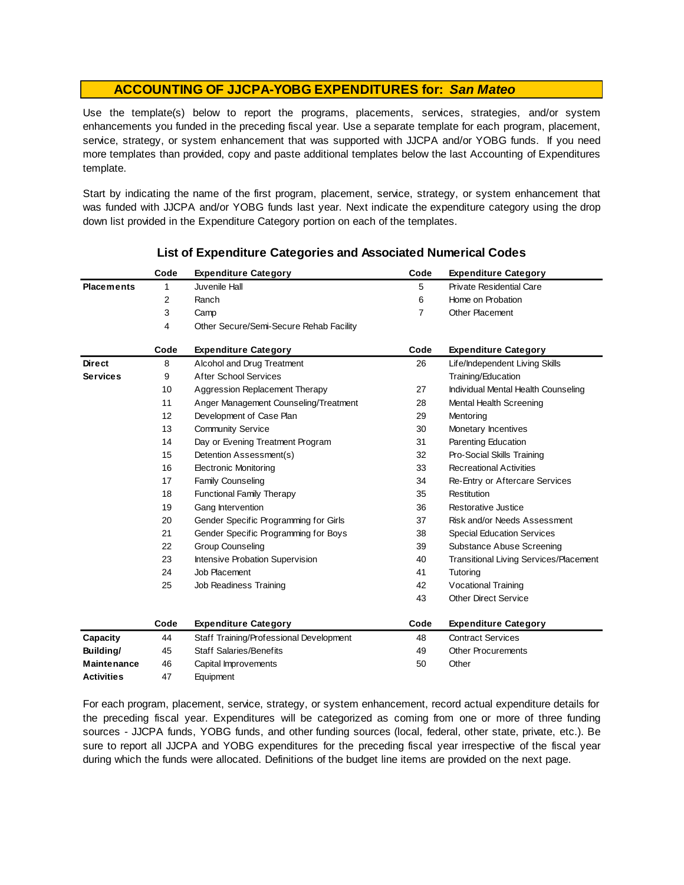Use the template(s) below to report the programs, placements, services, strategies, and/or system enhancements you funded in the preceding fiscal year. Use <sup>a</sup> separate template for each program, placement, service, strategy, or system enhancement that was supported with JJCPA and/or YOBG funds. If you need more templates than provided, copy and paste additional templates below the last Accounting of Expenditures template.

Start by indicating the name of the first program, placement, service, strategy, or system enhancement that was funded with JJCPA and/or YOBG funds last year. Next indicate the expenditure category using the drop down list provided in the Expenditure Category portion on each of the templates.

|                    | Code | <b>Expenditure Category</b>             | Code           | <b>Expenditure Category</b>                   |
|--------------------|------|-----------------------------------------|----------------|-----------------------------------------------|
| <b>Placements</b>  | 1    | Juvenile Hall                           | 5              | <b>Private Residential Care</b>               |
|                    | 2    | Ranch                                   | 6              | Home on Probation                             |
|                    | 3    | Camp                                    | $\overline{7}$ | Other Placement                               |
|                    | 4    | Other Secure/Semi-Secure Rehab Facility |                |                                               |
|                    | Code | <b>Expenditure Category</b>             | Code           | <b>Expenditure Category</b>                   |
| <b>Direct</b>      | 8    | Alcohol and Drug Treatment              | 26             | Life/Independent Living Skills                |
| <b>Services</b>    | 9    | <b>After School Services</b>            |                | Training/Education                            |
|                    | 10   | Aggression Replacement Therapy          | 27             | Individual Mental Health Counseling           |
|                    | 11   | Anger Management Counseling/Treatment   | 28             | Mental Health Screening                       |
|                    | 12   | Development of Case Plan                | 29             | Mentoring                                     |
|                    | 13   | <b>Community Service</b>                | 30             | Monetary Incentives                           |
|                    | 14   | Day or Evening Treatment Program        | 31             | Parenting Education                           |
|                    | 15   | Detention Assessment(s)                 | 32             | Pro-Social Skills Training                    |
|                    | 16   | <b>Electronic Monitoring</b>            | 33             | <b>Recreational Activities</b>                |
|                    | 17   | <b>Family Counseling</b>                | 34             | Re-Entry or Aftercare Services                |
|                    | 18   | <b>Functional Family Therapy</b>        | 35             | Restitution                                   |
|                    | 19   | Gang Intervention                       | 36             | Restorative Justice                           |
|                    | 20   | Gender Specific Programming for Girls   | 37             | Risk and/or Needs Assessment                  |
|                    | 21   | Gender Specific Programming for Boys    | 38             | <b>Special Education Services</b>             |
|                    | 22   | <b>Group Counseling</b>                 | 39             | Substance Abuse Screening                     |
|                    | 23   | Intensive Probation Supervision         | 40             | <b>Transitional Living Services/Placement</b> |
|                    | 24   | Job Placement                           | 41             | Tutoring                                      |
|                    | 25   | Job Readiness Training                  | 42             | Vocational Training                           |
|                    |      |                                         | 43             | <b>Other Direct Service</b>                   |
|                    | Code | <b>Expenditure Category</b>             | Code           | <b>Expenditure Category</b>                   |
| Capacity           | 44   | Staff Training/Professional Development | 48             | <b>Contract Services</b>                      |
| Building/          | 45   | <b>Staff Salaries/Benefits</b>          | 49             | <b>Other Procurements</b>                     |
| <b>Maintenance</b> | 46   | Capital Improvements                    | 50             | Other                                         |
| <b>Activities</b>  | 47   | Equipment                               |                |                                               |

### **List of Expenditure Categories and Associated Numerical Codes**

For each program, placement, service, strategy, or system enhancement, record actual expenditure details for the preceding fiscal year. Expenditures will be categorized as coming from one or more of three funding sources - JJCPA funds, YOBG funds, and other funding sources (local, federal, other state, private, etc.). Be sure to report all JJCPA and YOBG expenditures for the preceding fiscal year irrespective of the fiscal year during which the funds were allocated. Definitions of the budget line items are provided on the next page.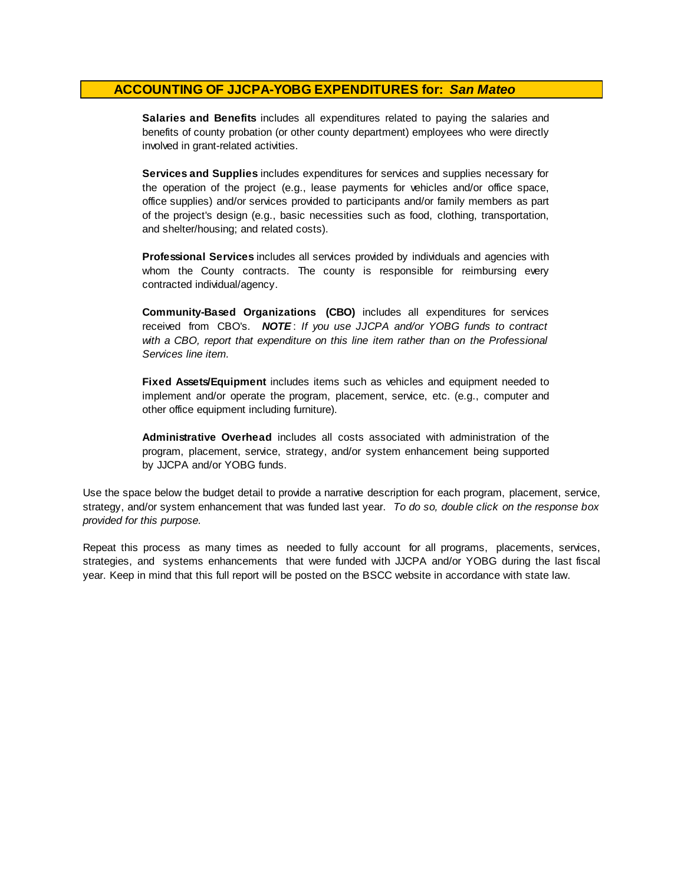**Salaries and Benefits** includes all expenditures related to paying the salaries and benefits of county probation (or other county department) employees who were directly involved in grant-related activities.

**Services and Supplies** includes expenditures for services and supplies necessary for the operation of the project (e.g., lease payments for vehicles and/or office space, office supplies) and/or services provided to participants and/or family members as part of the project's design (e.g., basic necessities such as food, clothing, transportation, and shelter/housing; and related costs).

**Professional Services** includes all services provided by individuals and agencies with whom the County contracts. The county is responsible for reimbursing every contracted individual/agency.

**Community-Based Organizations (CBO)** includes all expenditures for services received from CBO's. *NOTE* : *I f you use JJCPA and/or YOBG funds t o contract with <sup>a</sup> CBO, report that expenditure on this line item rather than on the Professional Services line item.*

**Fixed Assets/Equipment** includes items such as vehicles and equipment needed to implement and/or operate the program, placement, service, etc. (e.g., computer and other office equipment including furniture).

**Administrative Overhead** includes all costs associated with administration of the program, placement, service, strategy, and/or system enhancement being supported by JJCPA and/or YOBG funds.

Use the space below the budget detail to provide a narrative description for each program, placement, service, strategy, and/or system enhancement that was funded last year. *To do so, double click on the response box provided for this purpose.* 

Repeat this process as many times as needed to fully account for all programs, placements, services, strategies, and systems enhancements that were funded with JJCPA and/or YOBG during the last fiscal year. Keep in mind that this full report will be posted on the BSCC website in accordance with state law.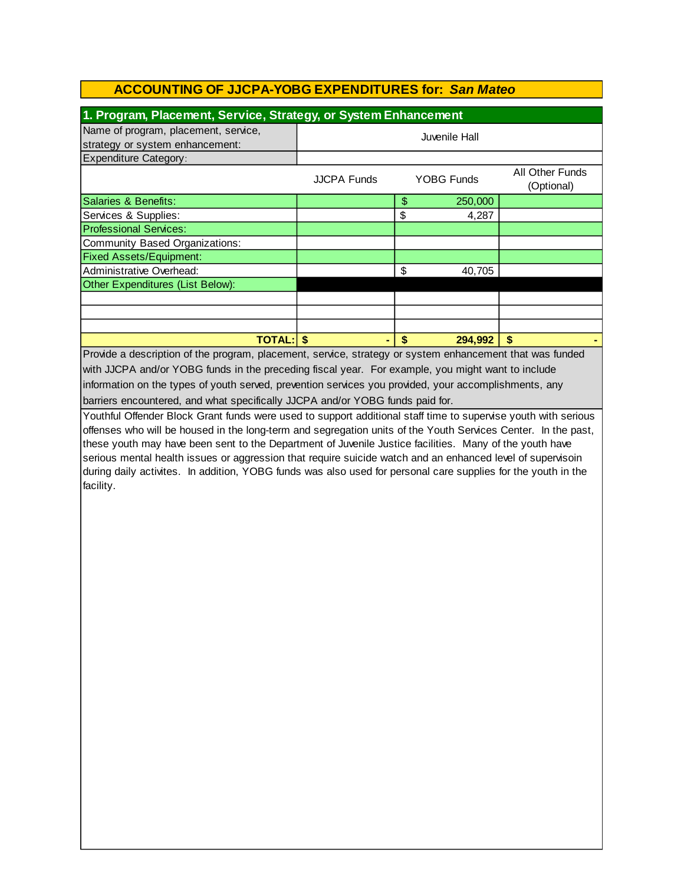| 1. Program, Placement, Service, Strategy, or System Enhancement                                                |                                         |                   |         |                 |  |  |
|----------------------------------------------------------------------------------------------------------------|-----------------------------------------|-------------------|---------|-----------------|--|--|
| Name of program, placement, service,                                                                           | Juvenile Hall                           |                   |         |                 |  |  |
| strategy or system enhancement:                                                                                |                                         |                   |         |                 |  |  |
| <b>Expenditure Category:</b>                                                                                   |                                         |                   |         |                 |  |  |
|                                                                                                                | <b>YOBG Funds</b><br><b>JJCPA Funds</b> |                   |         | All Other Funds |  |  |
|                                                                                                                |                                         |                   |         | (Optional)      |  |  |
| <b>Salaries &amp; Benefits:</b>                                                                                |                                         | $\frac{1}{2}$     | 250,000 |                 |  |  |
| Services & Supplies:                                                                                           |                                         | \$                | 4,287   |                 |  |  |
| <b>Professional Services:</b>                                                                                  |                                         |                   |         |                 |  |  |
| Community Based Organizations:                                                                                 |                                         |                   |         |                 |  |  |
| <b>Fixed Assets/Equipment:</b>                                                                                 |                                         |                   |         |                 |  |  |
| Administrative Overhead:                                                                                       |                                         | \$                | 40,705  |                 |  |  |
| Other Expenditures (List Below):                                                                               |                                         |                   |         |                 |  |  |
|                                                                                                                |                                         |                   |         |                 |  |  |
|                                                                                                                |                                         |                   |         |                 |  |  |
|                                                                                                                |                                         |                   |         |                 |  |  |
| <b>TOTAL: \$</b>                                                                                               |                                         | $\boldsymbol{\$}$ | 294,992 | S               |  |  |
| Provide a description of the program, placement, service, strategy or system enhancement that was funded       |                                         |                   |         |                 |  |  |
| with JJCPA and/or YOBG funds in the preceding fiscal year. For example, you might want to include              |                                         |                   |         |                 |  |  |
| information on the types of youth served, prevention services you provided, your accomplishments, any          |                                         |                   |         |                 |  |  |
| barriers encountered, and what specifically JJCPA and/or YOBG funds paid for.                                  |                                         |                   |         |                 |  |  |
| Youthful Offender Block Grant funds were used to support additional staff time to supervise youth with serious |                                         |                   |         |                 |  |  |
| offenses who will be housed in the long-term and segregation units of the Youth Services Center. In the past,  |                                         |                   |         |                 |  |  |
| these youth may have been sent to the Department of Juvenile Justice facilities. Many of the youth have        |                                         |                   |         |                 |  |  |
| serious mental health issues or aggression that require suicide watch and an enhanced level of supervisoin     |                                         |                   |         |                 |  |  |
| during daily activites. In addition, YOBG funds was also used for personal care supplies for the youth in the  |                                         |                   |         |                 |  |  |
| facility.                                                                                                      |                                         |                   |         |                 |  |  |
|                                                                                                                |                                         |                   |         |                 |  |  |
|                                                                                                                |                                         |                   |         |                 |  |  |
|                                                                                                                |                                         |                   |         |                 |  |  |
|                                                                                                                |                                         |                   |         |                 |  |  |
|                                                                                                                |                                         |                   |         |                 |  |  |
|                                                                                                                |                                         |                   |         |                 |  |  |
|                                                                                                                |                                         |                   |         |                 |  |  |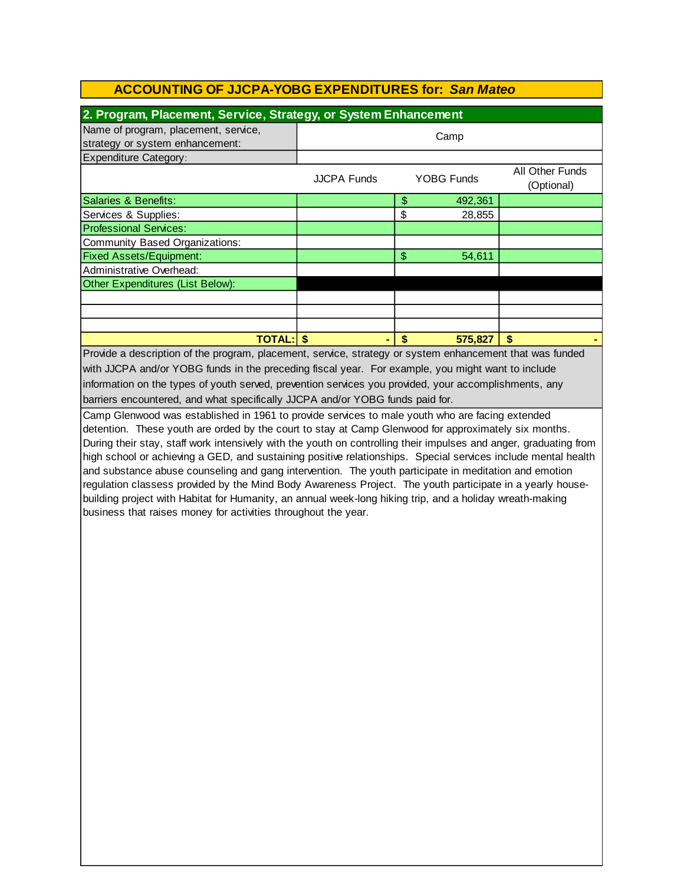| 2. Program, Placement, Service, Strategy, or System Enhancement                                                                                |                    |                |                   |                               |  |
|------------------------------------------------------------------------------------------------------------------------------------------------|--------------------|----------------|-------------------|-------------------------------|--|
| Name of program, placement, service,<br>strategy or system enhancement:                                                                        | Camp               |                |                   |                               |  |
| <b>Expenditure Category:</b>                                                                                                                   |                    |                |                   |                               |  |
|                                                                                                                                                | <b>JJCPA Funds</b> |                | <b>YOBG Funds</b> | All Other Funds<br>(Optional) |  |
| Salaries & Benefits:                                                                                                                           |                    | \$             | 492,361           |                               |  |
| Services & Supplies:                                                                                                                           |                    | \$             | 28,855            |                               |  |
| <b>Professional Services:</b>                                                                                                                  |                    |                |                   |                               |  |
| Community Based Organizations:                                                                                                                 |                    |                |                   |                               |  |
| <b>Fixed Assets/Equipment:</b>                                                                                                                 |                    | $\mathfrak{S}$ | 54,611            |                               |  |
| Administrative Overhead:                                                                                                                       |                    |                |                   |                               |  |
| Other Expenditures (List Below):                                                                                                               |                    |                |                   |                               |  |
|                                                                                                                                                |                    |                |                   |                               |  |
|                                                                                                                                                |                    |                |                   |                               |  |
|                                                                                                                                                |                    |                |                   |                               |  |
| <b>TOTAL: \$</b>                                                                                                                               |                    |                | 575,827           |                               |  |
| the contract of the contract of the contract of the contract of the contract of the contract of the contract of<br>$\sim$ $\sim$ $\sim$ $\sim$ |                    |                |                   | $\sim$ $\sim$ $\sim$          |  |

information on the types of youth served, prevention services you provided, your accomplishments, any barriers encountered, and what specifically JJCPA and/or YOBG funds paid for. Provide a description of the program, placement, service, strategy or system enhancement that was funded with JJCPA and/or YOBG funds in the preceding fiscal year. For example, you might want to include

Camp Glenwood was established in 1961 to provide services to male youth who are facing extended detention. These youth are orded by the court to stay at Camp Glenwood for approximately six months. During their stay, staff work intensively with the youth on controlling their impulses and anger, graduating from high school or achieving a GED, and sustaining positive relationships. Special services include mental health and substance abuse counseling and gang intervention. The youth participate in meditation and emotion regulation classess provided by the Mind Body Awareness Project. The youth participate in a yearly housebuilding project with Habitat for Humanity, an annual week-long hiking trip, and a holiday wreath-making business that raises money for activities throughout the year.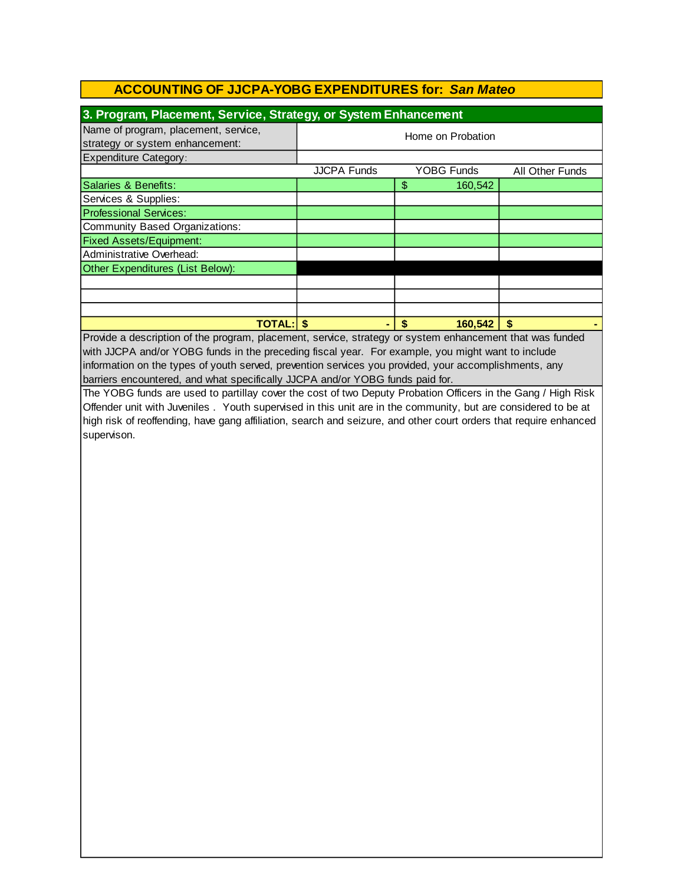| 3. Program, Placement, Service, Strategy, or System Enhancement         |                    |                   |                 |  |  |
|-------------------------------------------------------------------------|--------------------|-------------------|-----------------|--|--|
| Name of program, placement, service,<br>strategy or system enhancement: | Home on Probation  |                   |                 |  |  |
| <b>Expenditure Category:</b>                                            |                    |                   |                 |  |  |
|                                                                         | <b>JJCPA Funds</b> | <b>YOBG Funds</b> | All Other Funds |  |  |
| Salaries & Benefits:                                                    |                    | \$<br>160,542     |                 |  |  |
| Services & Supplies:                                                    |                    |                   |                 |  |  |
| <b>Professional Services:</b>                                           |                    |                   |                 |  |  |
| Community Based Organizations:                                          |                    |                   |                 |  |  |
| <b>Fixed Assets/Equipment:</b>                                          |                    |                   |                 |  |  |
| Administrative Overhead:                                                |                    |                   |                 |  |  |
| Other Expenditures (List Below):                                        |                    |                   |                 |  |  |
|                                                                         |                    |                   |                 |  |  |
|                                                                         |                    |                   |                 |  |  |
|                                                                         |                    |                   |                 |  |  |
| <b>TOTAL:</b>                                                           |                    | 160,542<br>S      | S               |  |  |

Provide a description of the program, placement, service, strategy or system enhancement that was funded with JJCPA and/or YOBG funds in the preceding fiscal year. For example, you might want to include barriers encountered, and what specifically JJCPA and/or YOBG funds paid for. information on the types of youth served, prevention services you provided, your accomplishments, any

The YOBG funds are used to partillay cover the cost of two Deputy Probation Officers in the Gang / High Risk Offender unit with Juveniles . Youth supervised in this unit are in the community, but are considered to be at high risk of reoffending, have gang affiliation, search and seizure, and other court orders that require enhanced supervison.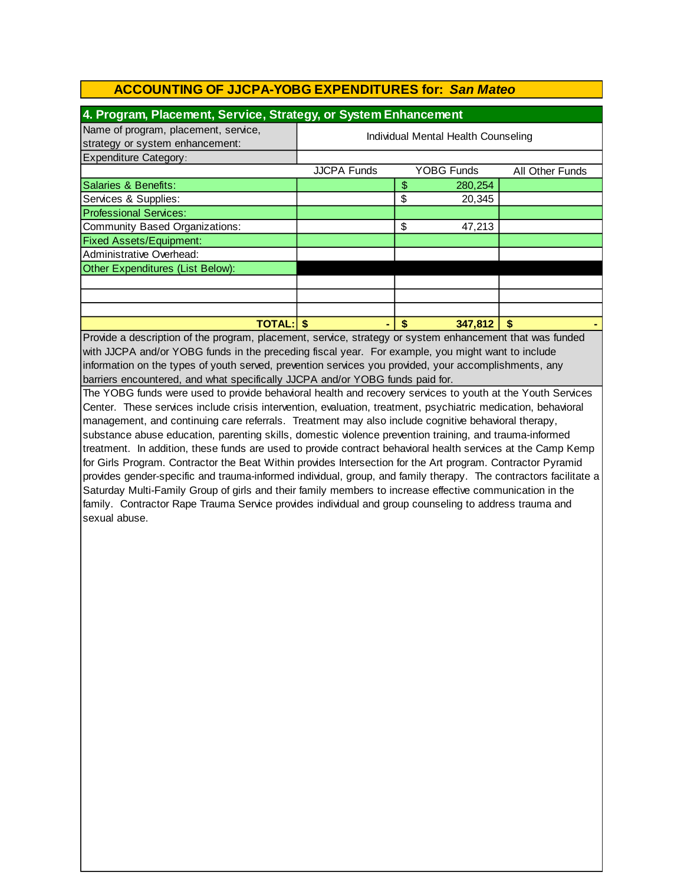| 4. Program, Placement, Service, Strategy, or System Enhancement         |                                     |    |            |                 |  |
|-------------------------------------------------------------------------|-------------------------------------|----|------------|-----------------|--|
| Name of program, placement, service,<br>strategy or system enhancement: | Individual Mental Health Counseling |    |            |                 |  |
| <b>Expenditure Category:</b>                                            |                                     |    |            |                 |  |
|                                                                         | <b>JJCPA Funds</b>                  |    | YOBG Funds | All Other Funds |  |
| Salaries & Benefits:                                                    |                                     | \$ | 280,254    |                 |  |
| Services & Supplies:                                                    |                                     | \$ | 20,345     |                 |  |
| <b>Professional Services:</b>                                           |                                     |    |            |                 |  |
| Community Based Organizations:                                          |                                     | \$ | 47,213     |                 |  |
| <b>Fixed Assets/Equipment:</b>                                          |                                     |    |            |                 |  |
| Administrative Overhead:                                                |                                     |    |            |                 |  |
| Other Expenditures (List Below):                                        |                                     |    |            |                 |  |
|                                                                         |                                     |    |            |                 |  |
|                                                                         |                                     |    |            |                 |  |
|                                                                         |                                     |    |            |                 |  |
| <b>TOTAL:</b>                                                           |                                     | S  | 347,812    | S               |  |

Provide a description of the program, placement, service, strategy or system enhancement that was funded with JJCPA and/or YOBG funds in the preceding fiscal year. For example, you might want to include information on the types of youth served, prevention services you provided, your accomplishments, any barriers encountered, and what specifically JJCPA and/or YOBG funds paid for.

The YOBG funds were used to provide behavioral health and recovery services to youth at the Youth Services Center. These services include crisis intervention, evaluation, treatment, psychiatric medication, behavioral management, and continuing care referrals. Treatment may also include cognitive behavioral therapy, substance abuse education, parenting skills, domestic violence prevention training, and trauma-informed treatment. In addition, these funds are used to provide contract behavioral health services at the Camp Kemp for Girls Program. Contractor the Beat Within provides Intersection for the Art program. Contractor Pyramid provides gender-specific and trauma-informed individual, group, and family therapy. The contractors facilitate a Saturday Multi-Family Group of girls and their family members to increase effective communication in the family. Contractor Rape Trauma Service provides individual and group counseling to address trauma and sexual abuse.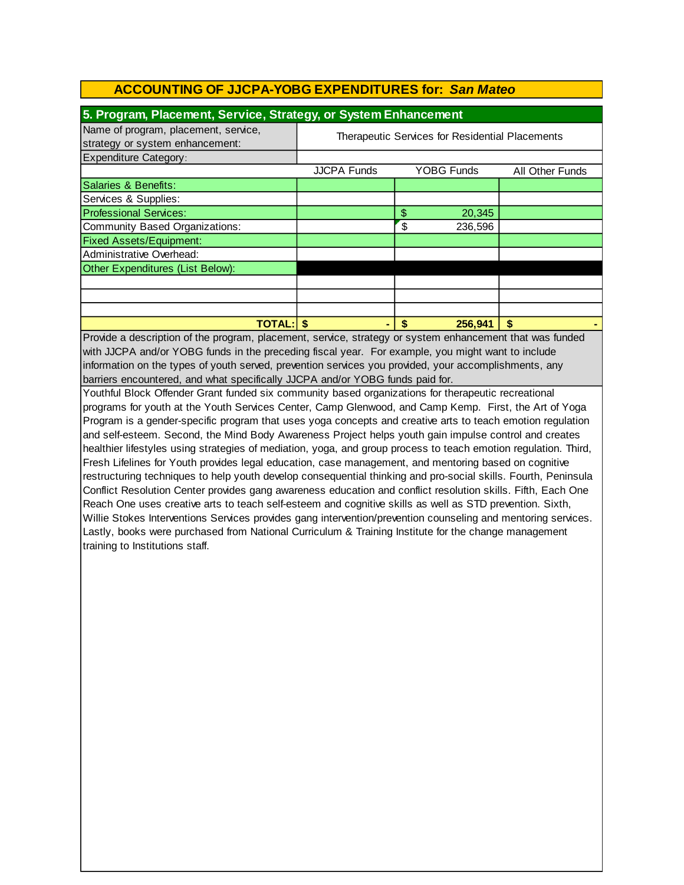| 5. Program, Placement, Service, Strategy, or System Enhancement         |                                                 |                   |                        |  |  |
|-------------------------------------------------------------------------|-------------------------------------------------|-------------------|------------------------|--|--|
| Name of program, placement, service,<br>strategy or system enhancement: | Therapeutic Services for Residential Placements |                   |                        |  |  |
| Expenditure Category:                                                   |                                                 |                   |                        |  |  |
|                                                                         | <b>JJCPA Funds</b>                              | <b>YOBG Funds</b> | <b>All Other Funds</b> |  |  |
| Salaries & Benefits:                                                    |                                                 |                   |                        |  |  |
| Services & Supplies:                                                    |                                                 |                   |                        |  |  |
| <b>Professional Services:</b>                                           |                                                 | \$<br>20,345      |                        |  |  |
| Community Based Organizations:                                          |                                                 | \$<br>236,596     |                        |  |  |
| <b>Fixed Assets/Equipment:</b>                                          |                                                 |                   |                        |  |  |
| Administrative Overhead:                                                |                                                 |                   |                        |  |  |
| Other Expenditures (List Below):                                        |                                                 |                   |                        |  |  |
|                                                                         |                                                 |                   |                        |  |  |
|                                                                         |                                                 |                   |                        |  |  |
|                                                                         |                                                 |                   |                        |  |  |
| <b>TOTAL:</b>                                                           |                                                 | 256,941<br>\$     | \$                     |  |  |

with JJCPA and/or YOBG funds in the preceding fiscal year. For example, you might want to include information on the types of youth served, prevention services you provided, your accomplishments, any barriers encountered, and what specifically JJCPA and/or YOBG funds paid for. Provide a description of the program, placement, service, strategy or system enhancement that was funded

Youthful Block Offender Grant funded six community based organizations for therapeutic recreational programs for youth at the Youth Services Center, Camp Glenwood, and Camp Kemp. First, the Art of Yoga Program is a gender-specific program that uses yoga concepts and creative arts to teach emotion regulation and self-esteem. Second, the Mind Body Awareness Project helps youth gain impulse control and creates healthier lifestyles using strategies of mediation, yoga, and group process to teach emotion regulation. Third, Fresh Lifelines for Youth provides legal education, case management, and mentoring based on cognitive restructuring techniques to help youth develop consequential thinking and pro-social skills. Fourth, Peninsula Conflict Resolution Center provides gang awareness education and conflict resolution skills. Fifth, Each One Reach One uses creative arts to teach self-esteem and cognitive skills as well as STD prevention. Sixth, Willie Stokes Interventions Services provides gang intervention/prevention counseling and mentoring services. Lastly, books were purchased from National Curriculum & Training Institute for the change management training to Institutions staff.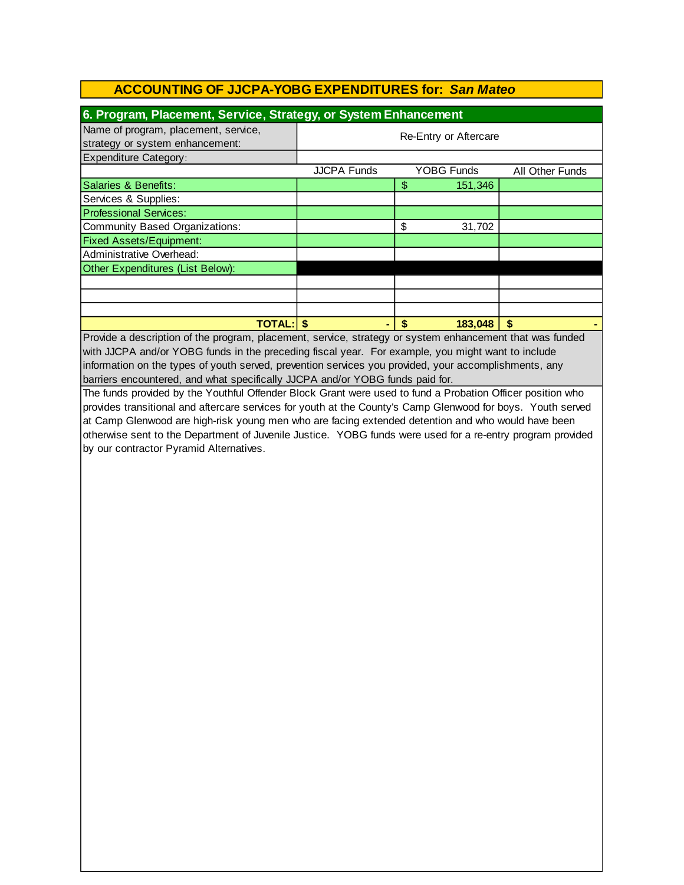| 6. Program, Placement, Service, Strategy, or System Enhancement         |                       |                   |                 |  |  |
|-------------------------------------------------------------------------|-----------------------|-------------------|-----------------|--|--|
| Name of program, placement, service,<br>strategy or system enhancement: | Re-Entry or Aftercare |                   |                 |  |  |
| Expenditure Category:                                                   |                       |                   |                 |  |  |
|                                                                         | <b>JJCPA Funds</b>    | <b>YOBG Funds</b> | All Other Funds |  |  |
| Salaries & Benefits:                                                    |                       | 151,346<br>\$     |                 |  |  |
| Services & Supplies:                                                    |                       |                   |                 |  |  |
| <b>Professional Services:</b>                                           |                       |                   |                 |  |  |
| Community Based Organizations:                                          |                       | \$<br>31,702      |                 |  |  |
| <b>Fixed Assets/Equipment:</b>                                          |                       |                   |                 |  |  |
| Administrative Overhead:                                                |                       |                   |                 |  |  |
| Other Expenditures (List Below):                                        |                       |                   |                 |  |  |
|                                                                         |                       |                   |                 |  |  |
|                                                                         |                       |                   |                 |  |  |
|                                                                         |                       |                   |                 |  |  |
| <b>TOTAL: S</b>                                                         |                       | 183,048<br>S      | S               |  |  |

Provide a description of the program, placement, service, strategy or system enhancement that was funded with JJCPA and/or YOBG funds in the preceding fiscal year. For example, you might want to include information on the types of youth served, prevention services you provided, your accomplishments, any barriers encountered, and what specifically JJCPA and/or YOBG funds paid for.

The funds provided by the Youthful Offender Block Grant were used to fund a Probation Officer position who provides transitional and aftercare services for youth at the County's Camp Glenwood for boys. Youth served at Camp Glenwood are high-risk young men who are facing extended detention and who would have been otherwise sent to the Department of Juvenile Justice. YOBG funds were used for a re-entry program provided by our contractor Pyramid Alternatives.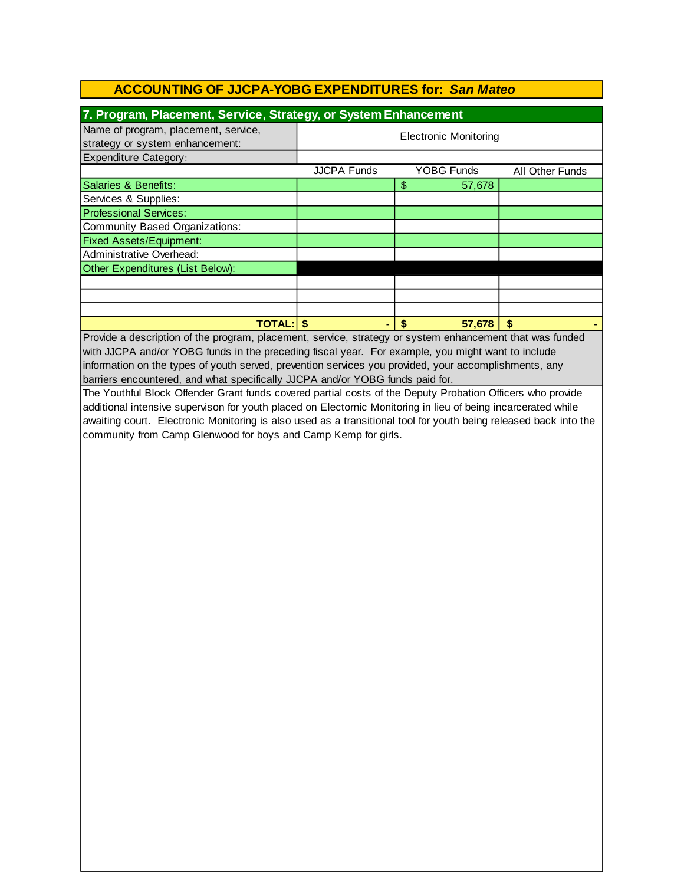| 7. Program, Placement, Service, Strategy, or System Enhancement                                                  |                              |                          |                 |  |  |  |
|------------------------------------------------------------------------------------------------------------------|------------------------------|--------------------------|-----------------|--|--|--|
| Name of program, placement, service,                                                                             |                              |                          |                 |  |  |  |
| strategy or system enhancement:                                                                                  | <b>Electronic Monitoring</b> |                          |                 |  |  |  |
| <b>Expenditure Category:</b>                                                                                     |                              |                          |                 |  |  |  |
|                                                                                                                  | <b>JJCPA Funds</b>           | <b>YOBG Funds</b>        | All Other Funds |  |  |  |
| <b>Salaries &amp; Benefits:</b>                                                                                  |                              | $\mathfrak{S}$<br>57,678 |                 |  |  |  |
| Services & Supplies:                                                                                             |                              |                          |                 |  |  |  |
| <b>Professional Services:</b>                                                                                    |                              |                          |                 |  |  |  |
| <b>Community Based Organizations:</b>                                                                            |                              |                          |                 |  |  |  |
| <b>Fixed Assets/Equipment:</b>                                                                                   |                              |                          |                 |  |  |  |
| Administrative Overhead:                                                                                         |                              |                          |                 |  |  |  |
| Other Expenditures (List Below):                                                                                 |                              |                          |                 |  |  |  |
|                                                                                                                  |                              |                          |                 |  |  |  |
|                                                                                                                  |                              |                          |                 |  |  |  |
|                                                                                                                  |                              |                          |                 |  |  |  |
| $TOTAL:$ \$                                                                                                      |                              | \$<br>57.678             | \$.             |  |  |  |
| Provide a description of the program, placement, service, strategy or system enhancement that was funded         |                              |                          |                 |  |  |  |
| with JJCPA and/or YOBG funds in the preceding fiscal year. For example, you might want to include                |                              |                          |                 |  |  |  |
| information on the types of youth served, prevention services you provided, your accomplishments, any            |                              |                          |                 |  |  |  |
| barriers encountered, and what specifically JJCPA and/or YOBG funds paid for.                                    |                              |                          |                 |  |  |  |
| The Youthful Block Offender Grant funds covered partial costs of the Deputy Probation Officers who provide       |                              |                          |                 |  |  |  |
| additional intensive supervison for youth placed on Electornic Monitoring in lieu of being incarcerated while    |                              |                          |                 |  |  |  |
| awaiting court. Electronic Monitoring is also used as a transitional tool for youth being released back into the |                              |                          |                 |  |  |  |
| community from Camp Glenwood for boys and Camp Kemp for girls.                                                   |                              |                          |                 |  |  |  |
|                                                                                                                  |                              |                          |                 |  |  |  |
|                                                                                                                  |                              |                          |                 |  |  |  |
|                                                                                                                  |                              |                          |                 |  |  |  |
|                                                                                                                  |                              |                          |                 |  |  |  |
|                                                                                                                  |                              |                          |                 |  |  |  |
|                                                                                                                  |                              |                          |                 |  |  |  |
|                                                                                                                  |                              |                          |                 |  |  |  |
|                                                                                                                  |                              |                          |                 |  |  |  |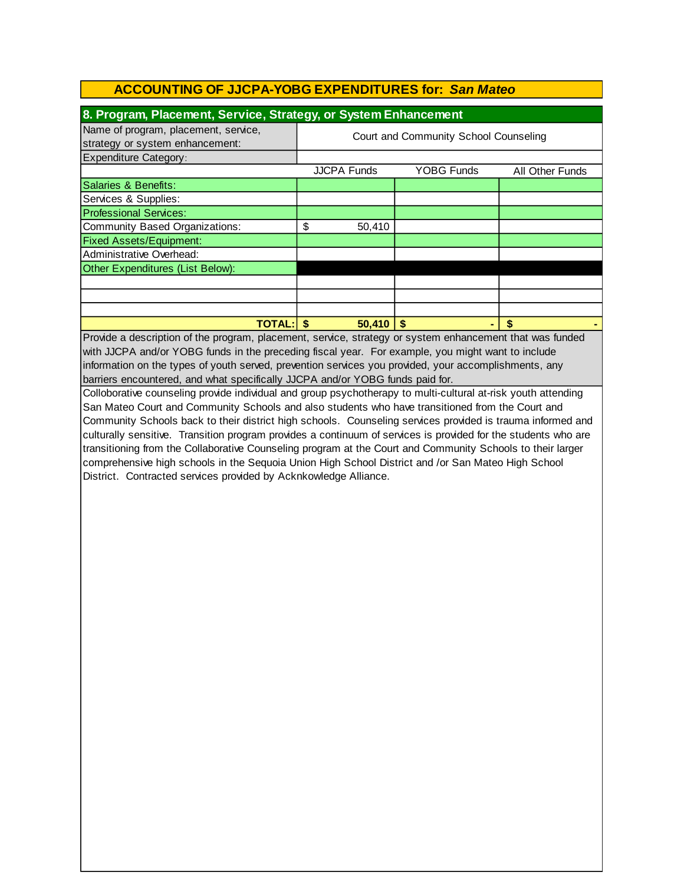| 8. Program, Placement, Service, Strategy, or System Enhancement                                          |                                       |        |                   |  |   |                 |
|----------------------------------------------------------------------------------------------------------|---------------------------------------|--------|-------------------|--|---|-----------------|
| Name of program, placement, service,<br>strategy or system enhancement:                                  | Court and Community School Counseling |        |                   |  |   |                 |
| <b>Expenditure Category:</b>                                                                             |                                       |        |                   |  |   |                 |
|                                                                                                          | <b>JJCPA Funds</b>                    |        | <b>YOBG Funds</b> |  |   | All Other Funds |
| Salaries & Benefits:                                                                                     |                                       |        |                   |  |   |                 |
| Services & Supplies:                                                                                     |                                       |        |                   |  |   |                 |
| <b>Professional Services:</b>                                                                            |                                       |        |                   |  |   |                 |
| Community Based Organizations:                                                                           | \$                                    | 50,410 |                   |  |   |                 |
| <b>Fixed Assets/Equipment:</b>                                                                           |                                       |        |                   |  |   |                 |
| Administrative Overhead:                                                                                 |                                       |        |                   |  |   |                 |
| Other Expenditures (List Below):                                                                         |                                       |        |                   |  |   |                 |
|                                                                                                          |                                       |        |                   |  |   |                 |
|                                                                                                          |                                       |        |                   |  |   |                 |
|                                                                                                          |                                       |        |                   |  |   |                 |
| <b>TOTAL: \$</b>                                                                                         |                                       | 50.410 |                   |  | S |                 |
| Provide a description of the program, placement, service, strategy or system enhancement that was funded |                                       |        |                   |  |   |                 |

Provide a description of the program, placement, service, strategy or system enhancement that was funded with JJCPA and/or YOBG funds in the preceding fiscal year. For example, you might want to include information on the types of youth served, prevention services you provided, your accomplishments, any barriers encountered, and what specifically JJCPA and/or YOBG funds paid for.

Colloborative counseling provide individual and group psychotherapy to multi-cultural at-risk youth attending San Mateo Court and Community Schools and also students who have transitioned from the Court and Community Schools back to their district high schools. Counseling services provided is trauma informed and culturally sensitive. Transition program provides a continuum of services is provided for the students who are transitioning from the Collaborative Counseling program at the Court and Community Schools to their larger comprehensive high schools in the Sequoia Union High School District and /or San Mateo High School District. Contracted services provided by Acknkowledge Alliance.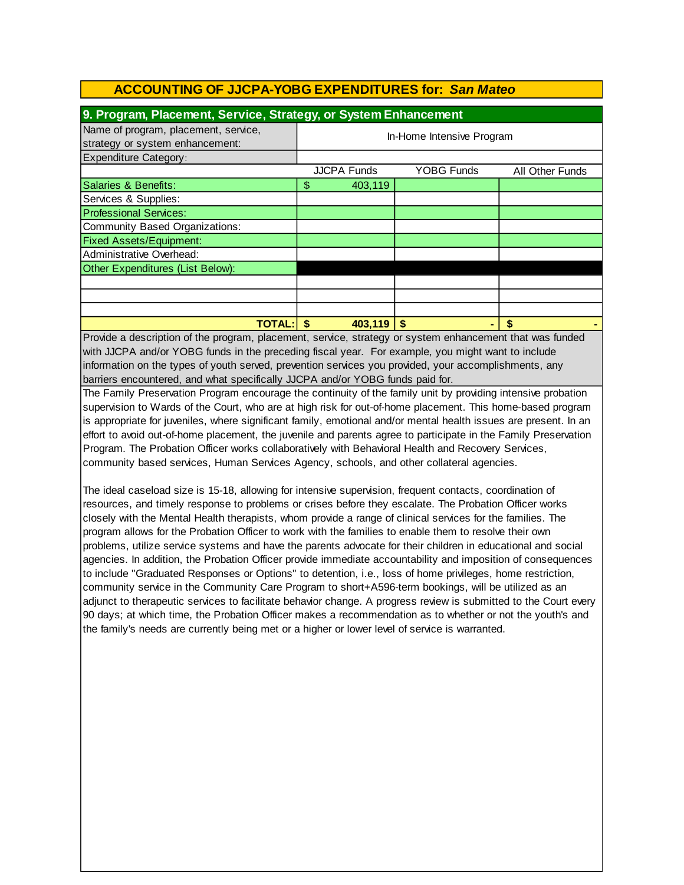| 9. Program, Placement, Service, Strategy, or System Enhancement         |                           |                    |            |                 |
|-------------------------------------------------------------------------|---------------------------|--------------------|------------|-----------------|
| Name of program, placement, service,<br>strategy or system enhancement: | In-Home Intensive Program |                    |            |                 |
| Expenditure Category:                                                   |                           |                    |            |                 |
|                                                                         |                           | <b>JJCPA Funds</b> | YOBG Funds | All Other Funds |
| Salaries & Benefits:                                                    | \$                        | 403,119            |            |                 |
| Services & Supplies:                                                    |                           |                    |            |                 |
| <b>Professional Services:</b>                                           |                           |                    |            |                 |
| Community Based Organizations:                                          |                           |                    |            |                 |
| <b>Fixed Assets/Equipment:</b>                                          |                           |                    |            |                 |
| Administrative Overhead:                                                |                           |                    |            |                 |
| Other Expenditures (List Below):                                        |                           |                    |            |                 |
|                                                                         |                           |                    |            |                 |
|                                                                         |                           |                    |            |                 |
|                                                                         |                           |                    |            |                 |
| <b>TOTAL:</b>                                                           |                           | 403,119            |            |                 |

Provide a description of the program, placement, service, strategy or system enhancement that was funded with JJCPA and/or YOBG funds in the preceding fiscal year. For example, you might want to include information on the types of youth served, prevention services you provided, your accomplishments, any barriers encountered, and what specifically JJCPA and/or YOBG funds paid for.

The Family Preservation Program encourage the continuity of the family unit by providing intensive probation supervision to Wards of the Court, who are at high risk for out-of-home placement. This home-based program is appropriate for juveniles, where significant family, emotional and/or mental health issues are present. In an effort to avoid out-of-home placement, the juvenile and parents agree to participate in the Family Preservation Program. The Probation Officer works collaboratively with Behavioral Health and Recovery Services, community based services, Human Services Agency, schools, and other collateral agencies.

The ideal caseload size is 15-18, allowing for intensive supervision, frequent contacts, coordination of resources, and timely response to problems or crises before they escalate. The Probation Officer works closely with the Mental Health therapists, whom provide a range of clinical services for the families. The program allows for the Probation Officer to work with the families to enable them to resolve their own problems, utilize service systems and have the parents advocate for their children in educational and social agencies. In addition, the Probation Officer provide immediate accountability and imposition of consequences to include "Graduated Responses or Options" to detention, i.e., loss of home privileges, home restriction, community service in the Community Care Program to short+A596-term bookings, will be utilized as an adjunct to therapeutic services to facilitate behavior change. A progress review is submitted to the Court every 90 days; at which time, the Probation Officer makes a recommendation as to whether or not the youth's and the family's needs are currently being met or a higher or lower level of service is warranted.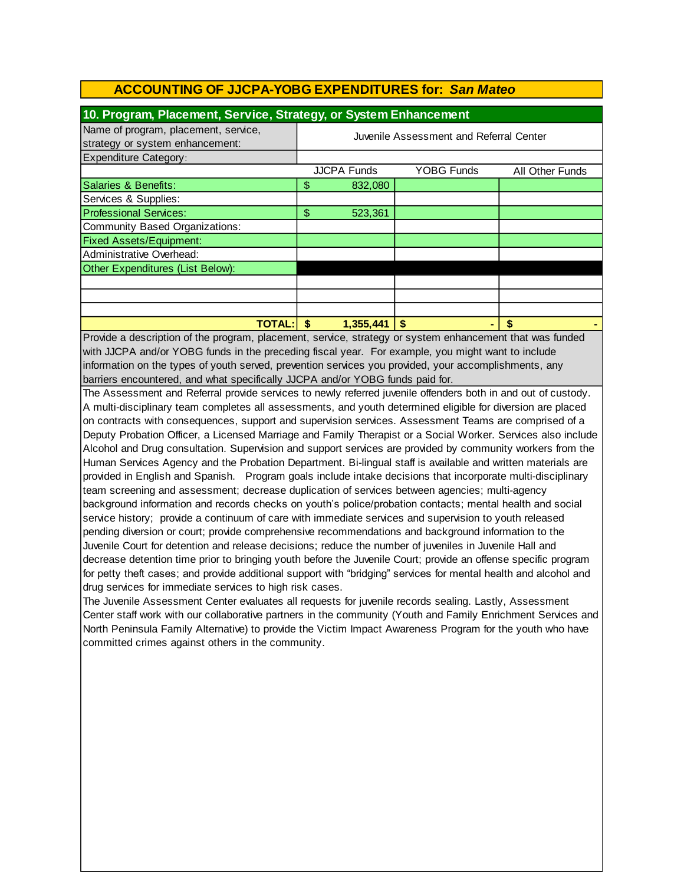| 10. Program, Placement, Service, Strategy, or System Enhancement        |                                         |                    |                   |                 |
|-------------------------------------------------------------------------|-----------------------------------------|--------------------|-------------------|-----------------|
| Name of program, placement, service,<br>strategy or system enhancement: | Juvenile Assessment and Referral Center |                    |                   |                 |
| <b>Expenditure Category:</b>                                            |                                         |                    |                   |                 |
|                                                                         |                                         | <b>JJCPA Funds</b> | <b>YOBG Funds</b> | All Other Funds |
| Salaries & Benefits:                                                    | \$                                      | 832,080            |                   |                 |
| Services & Supplies:                                                    |                                         |                    |                   |                 |
| <b>Professional Services:</b>                                           | \$                                      | 523,361            |                   |                 |
| Community Based Organizations:                                          |                                         |                    |                   |                 |
| <b>Fixed Assets/Equipment:</b>                                          |                                         |                    |                   |                 |
| Administrative Overhead:                                                |                                         |                    |                   |                 |
| Other Expenditures (List Below):                                        |                                         |                    |                   |                 |
|                                                                         |                                         |                    |                   |                 |
|                                                                         |                                         |                    |                   |                 |
|                                                                         |                                         |                    |                   |                 |
| <b>TOTAL:</b>                                                           |                                         | 1,355,441          | \$                | S               |

Provide a description of the program, placement, service, strategy or system enhancement that was funded with JJCPA and/or YOBG funds in the preceding fiscal year. For example, you might want to include information on the types of youth served, prevention services you provided, your accomplishments, any barriers encountered, and what specifically JJCPA and/or YOBG funds paid for.

The Assessment and Referral provide services to newly referred juvenile offenders both in and out of custody. A multi-disciplinary team completes all assessments, and youth determined eligible for diversion are placed on contracts with consequences, support and supervision services. Assessment Teams are comprised of a Deputy Probation Officer, a Licensed Marriage and Family Therapist or a Social Worker. Services also include Alcohol and Drug consultation. Supervision and support services are provided by community workers from the Human Services Agency and the Probation Department. Bi-lingual staff is available and written materials are provided in English and Spanish. Program goals include intake decisions that incorporate multi-disciplinary team screening and assessment; decrease duplication of services between agencies; multi-agency background information and records checks on youth's police/probation contacts; mental health and social service history; provide a continuum of care with immediate services and supervision to youth released pending diversion or court; provide comprehensive recommendations and background information to the Juvenile Court for detention and release decisions; reduce the number of juveniles in Juvenile Hall and decrease detention time prior to bringing youth before the Juvenile Court; provide an offense specific program for petty theft cases; and provide additional support with "bridging" services for mental health and alcohol and drug services for immediate services to high risk cases.

The Juvenile Assessment Center evaluates all requests for juvenile records sealing. Lastly, Assessment Center staff work with our collaborative partners in the community (Youth and Family Enrichment Services and North Peninsula Family Alternative) to provide the Victim Impact Awareness Program for the youth who have committed crimes against others in the community.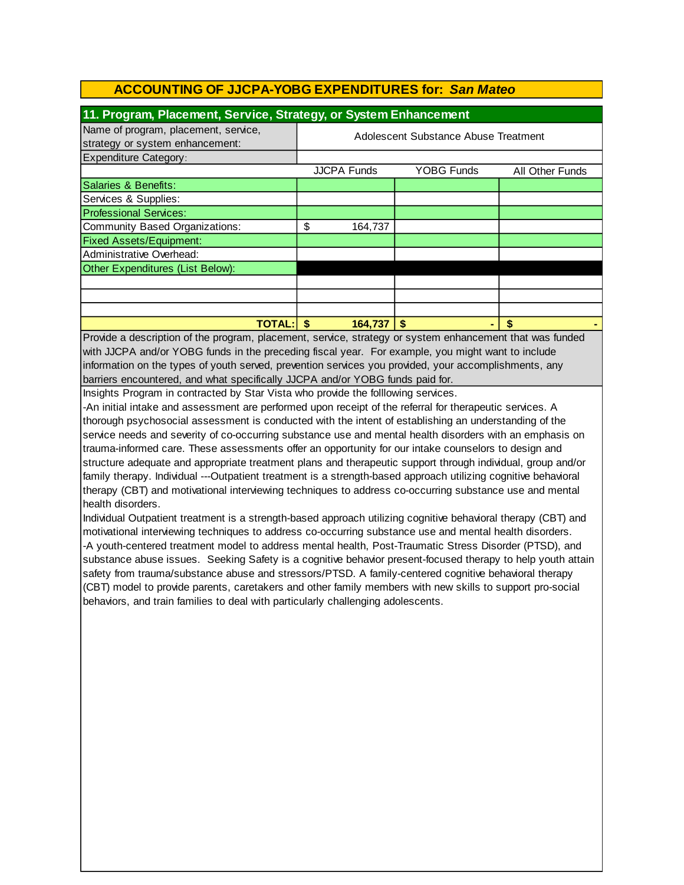| 11. Program, Placement, Service, Strategy, or System Enhancement        |                                      |                    |                   |                 |
|-------------------------------------------------------------------------|--------------------------------------|--------------------|-------------------|-----------------|
| Name of program, placement, service,<br>strategy or system enhancement: | Adolescent Substance Abuse Treatment |                    |                   |                 |
| <b>Expenditure Category:</b>                                            |                                      |                    |                   |                 |
|                                                                         |                                      | <b>JJCPA Funds</b> | <b>YOBG Funds</b> | All Other Funds |
| Salaries & Benefits:                                                    |                                      |                    |                   |                 |
| Services & Supplies:                                                    |                                      |                    |                   |                 |
| <b>Professional Services:</b>                                           |                                      |                    |                   |                 |
| Community Based Organizations:                                          | \$                                   | 164,737            |                   |                 |
| <b>Fixed Assets/Equipment:</b>                                          |                                      |                    |                   |                 |
| Administrative Overhead:                                                |                                      |                    |                   |                 |
| Other Expenditures (List Below):                                        |                                      |                    |                   |                 |
|                                                                         |                                      |                    |                   |                 |
|                                                                         |                                      |                    |                   |                 |
|                                                                         |                                      |                    |                   |                 |
| <b>TOTAL:</b>                                                           |                                      | 164,737            | S                 |                 |

with JJCPA and/or YOBG funds in the preceding fiscal year. For example, you might want to include information on the types of youth served, prevention services you provided, your accomplishments, any barriers encountered, and what specifically JJCPA and/or YOBG funds paid for. Provide a description of the program, placement, service, strategy or system enhancement that was funded

Insights Program in contracted by Star Vista who provide the folllowing services.

-An initial intake and assessment are performed upon receipt of the referral for therapeutic services. A thorough psychosocial assessment is conducted with the intent of establishing an understanding of the service needs and severity of co-occurring substance use and mental health disorders with an emphasis on trauma-informed care. These assessments offer an opportunity for our intake counselors to design and structure adequate and appropriate treatment plans and therapeutic support through individual, group and/or family therapy. Individual ---Outpatient treatment is a strength-based approach utilizing cognitive behavioral therapy (CBT) and motivational interviewing techniques to address co-occurring substance use and mental health disorders.

Individual Outpatient treatment is a strength-based approach utilizing cognitive behavioral therapy (CBT) and motivational interviewing techniques to address co-occurring substance use and mental health disorders. -A youth-centered treatment model to address mental health, Post-Traumatic Stress Disorder (PTSD), and substance abuse issues. Seeking Safety is a cognitive behavior present-focused therapy to help youth attain safety from trauma/substance abuse and stressors/PTSD. A family-centered cognitive behavioral therapy (CBT) model to provide parents, caretakers and other family members with new skills to support pro-social behaviors, and train families to deal with particularly challenging adolescents.